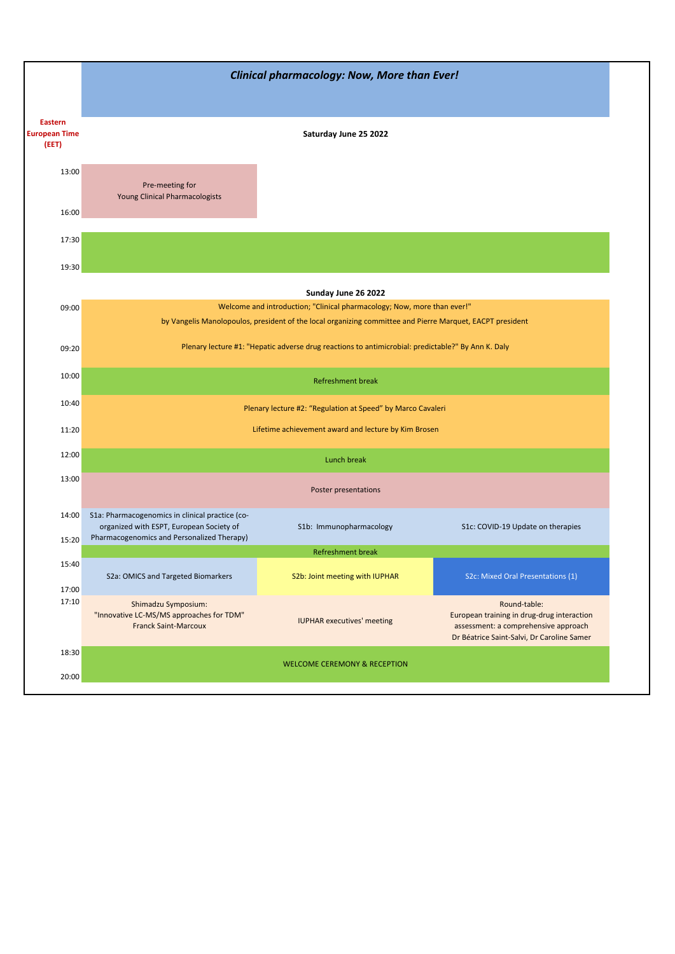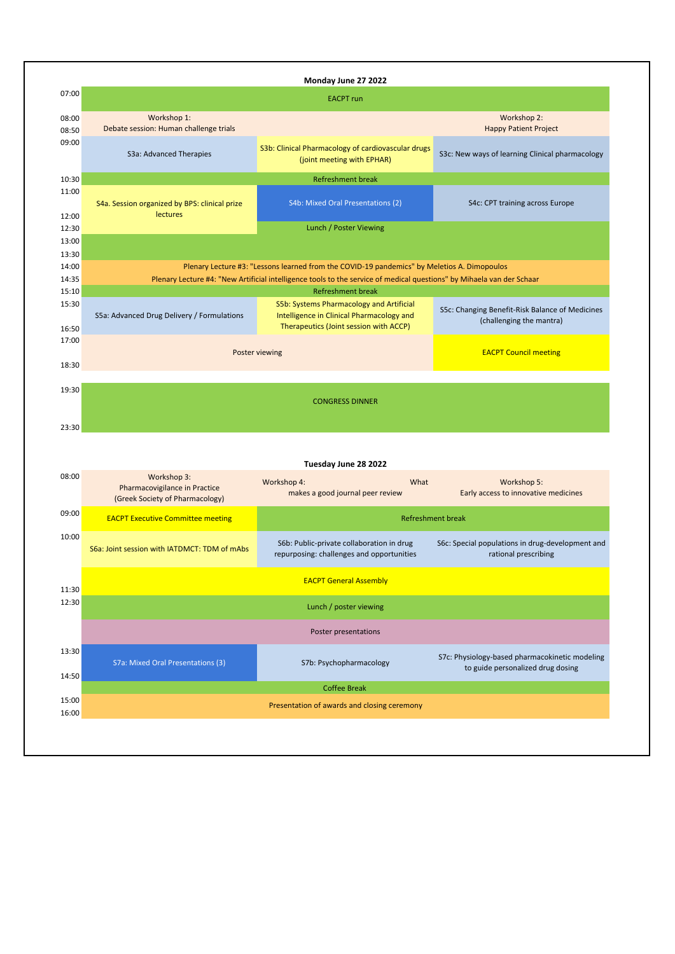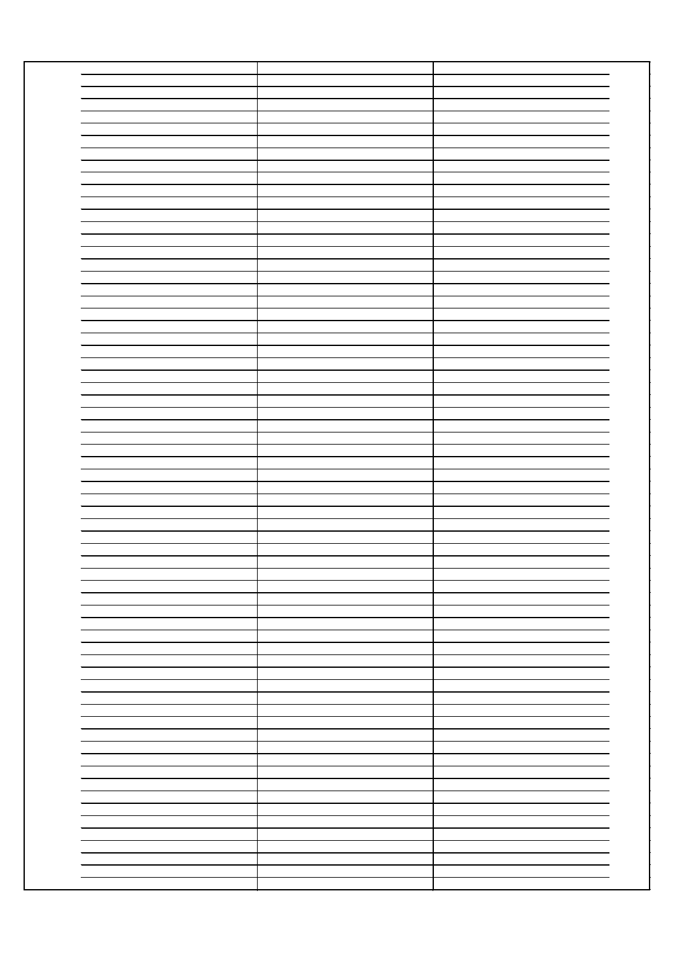|  | - |
|--|---|
|  |   |
|  |   |
|  |   |
|  |   |
|  |   |
|  |   |
|  |   |
|  |   |
|  |   |
|  |   |
|  |   |
|  |   |
|  |   |
|  |   |
|  |   |
|  |   |
|  |   |
|  |   |
|  |   |
|  |   |
|  |   |
|  |   |
|  |   |
|  |   |
|  |   |
|  |   |
|  |   |
|  |   |
|  |   |
|  |   |
|  | - |
|  |   |
|  |   |
|  |   |
|  |   |
|  |   |
|  |   |
|  |   |
|  |   |
|  |   |
|  |   |
|  |   |
|  |   |
|  |   |
|  |   |
|  |   |
|  |   |
|  |   |
|  |   |
|  |   |
|  |   |
|  |   |
|  |   |
|  |   |
|  |   |
|  |   |
|  |   |
|  |   |
|  |   |
|  |   |
|  |   |
|  |   |
|  |   |
|  |   |
|  |   |
|  |   |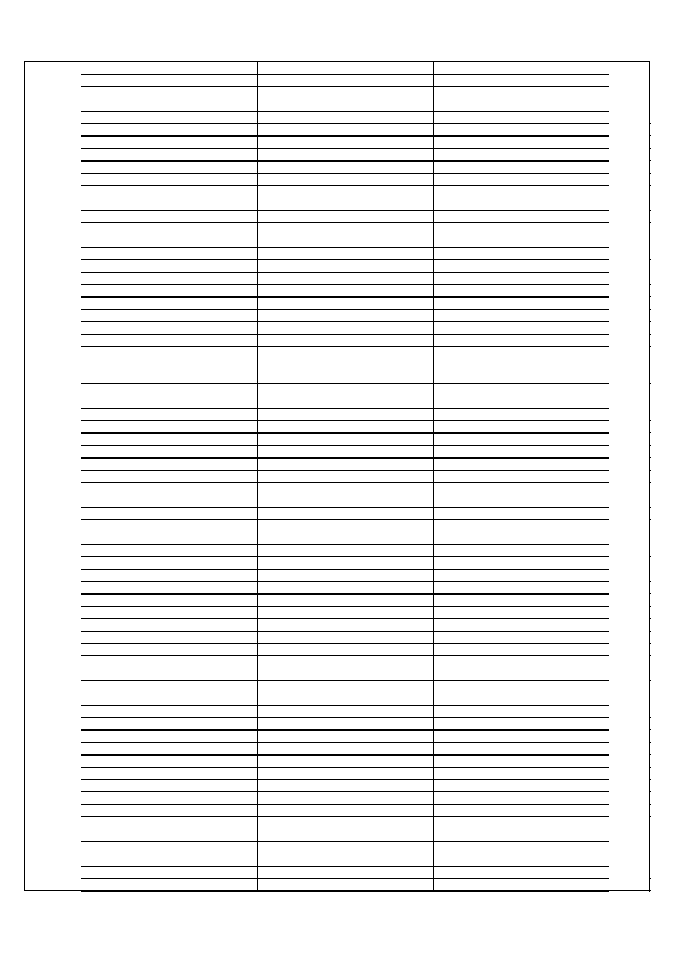|  | - |
|--|---|
|  |   |
|  |   |
|  |   |
|  |   |
|  |   |
|  |   |
|  |   |
|  |   |
|  | - |
|  |   |
|  |   |
|  |   |
|  |   |
|  |   |
|  |   |
|  |   |
|  |   |
|  |   |
|  |   |
|  |   |
|  |   |
|  |   |
|  |   |
|  |   |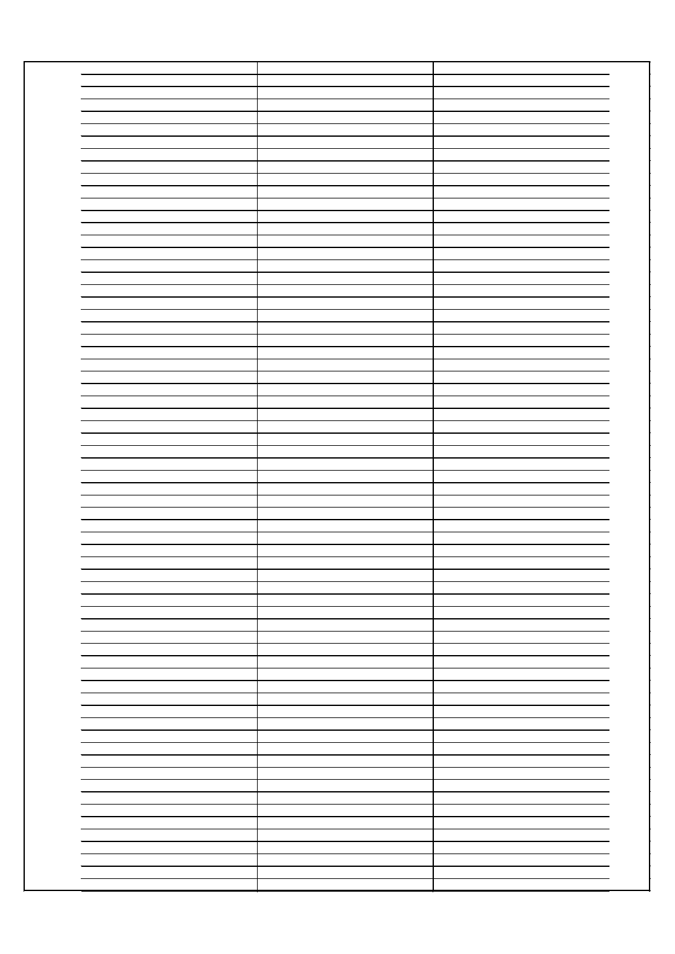|  | - |
|--|---|
|  |   |
|  |   |
|  |   |
|  |   |
|  |   |
|  |   |
|  |   |
|  |   |
|  | - |
|  |   |
|  |   |
|  |   |
|  |   |
|  |   |
|  |   |
|  |   |
|  |   |
|  |   |
|  |   |
|  |   |
|  |   |
|  |   |
|  |   |
|  |   |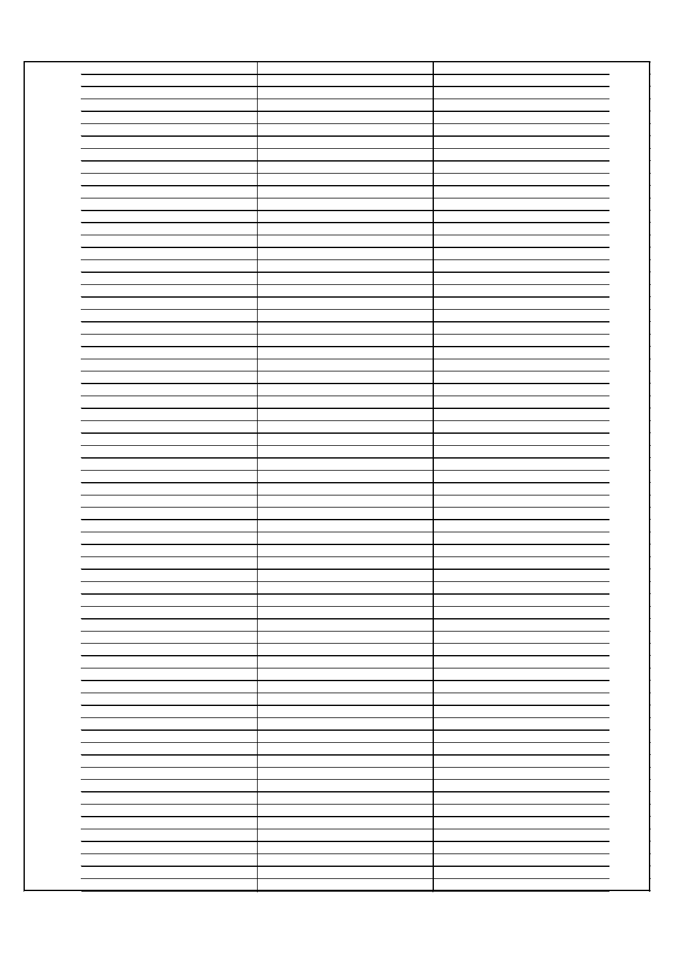|  | - |
|--|---|
|  |   |
|  |   |
|  |   |
|  |   |
|  |   |
|  |   |
|  |   |
|  |   |
|  | - |
|  |   |
|  |   |
|  |   |
|  |   |
|  |   |
|  |   |
|  |   |
|  |   |
|  |   |
|  |   |
|  |   |
|  |   |
|  |   |
|  |   |
|  |   |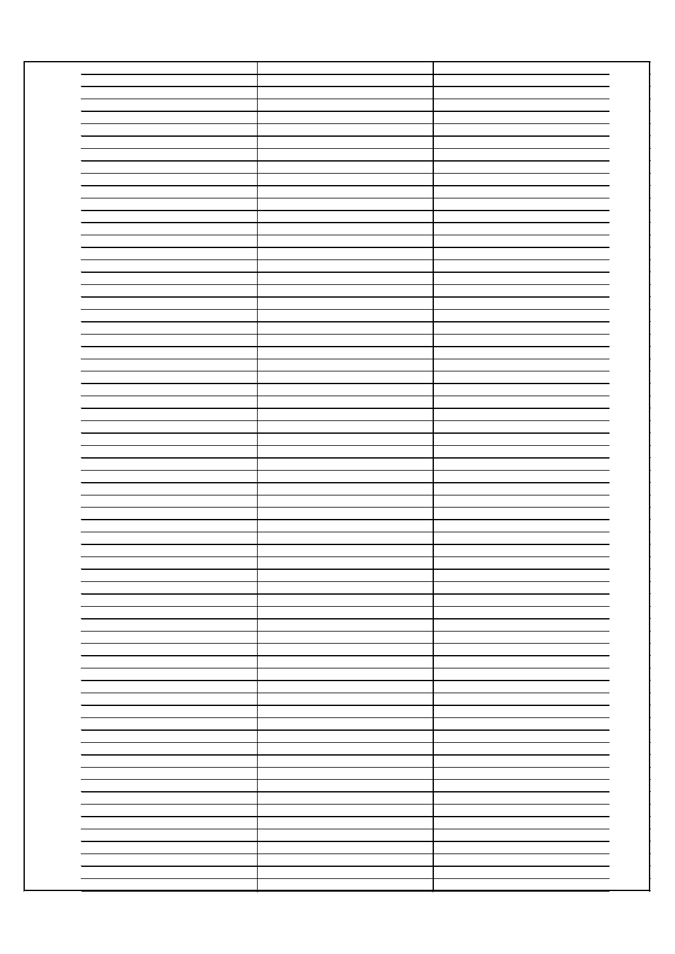|  | - |
|--|---|
|  |   |
|  |   |
|  |   |
|  |   |
|  |   |
|  |   |
|  |   |
|  |   |
|  | - |
|  |   |
|  |   |
|  |   |
|  |   |
|  |   |
|  |   |
|  |   |
|  |   |
|  |   |
|  |   |
|  |   |
|  |   |
|  |   |
|  |   |
|  |   |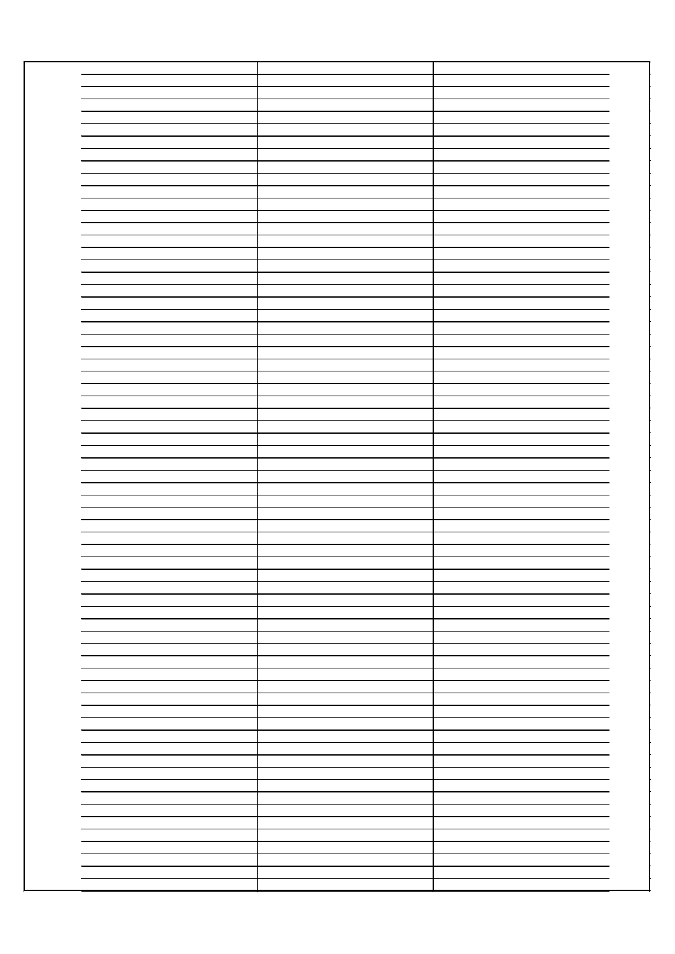|  | - |
|--|---|
|  |   |
|  |   |
|  |   |
|  |   |
|  |   |
|  |   |
|  |   |
|  |   |
|  | - |
|  |   |
|  |   |
|  |   |
|  |   |
|  |   |
|  |   |
|  |   |
|  |   |
|  |   |
|  |   |
|  |   |
|  |   |
|  |   |
|  |   |
|  |   |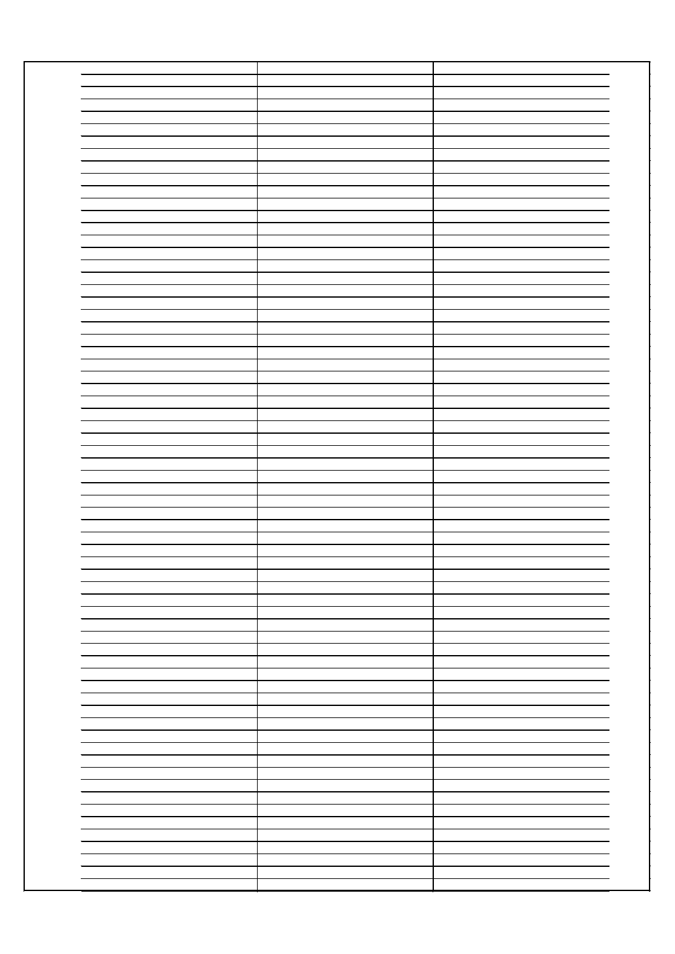|  | - |
|--|---|
|  |   |
|  |   |
|  |   |
|  |   |
|  |   |
|  |   |
|  |   |
|  |   |
|  | - |
|  |   |
|  |   |
|  |   |
|  |   |
|  |   |
|  |   |
|  |   |
|  |   |
|  |   |
|  |   |
|  |   |
|  |   |
|  |   |
|  |   |
|  |   |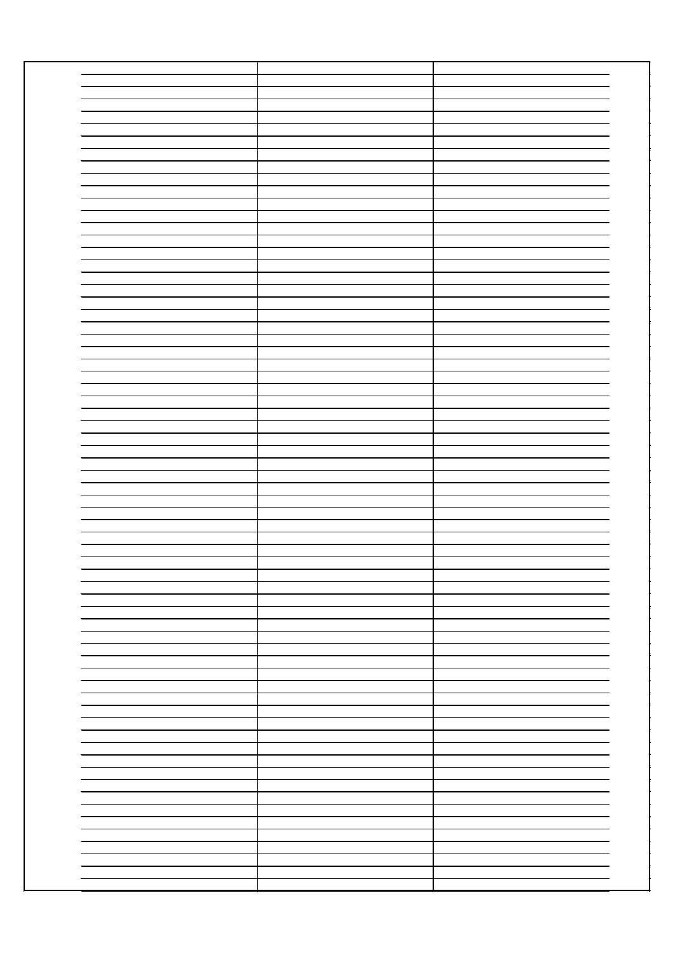|  | - |
|--|---|
|  |   |
|  |   |
|  |   |
|  |   |
|  |   |
|  |   |
|  |   |
|  |   |
|  | - |
|  |   |
|  |   |
|  |   |
|  |   |
|  |   |
|  |   |
|  |   |
|  |   |
|  |   |
|  |   |
|  |   |
|  |   |
|  |   |
|  |   |
|  |   |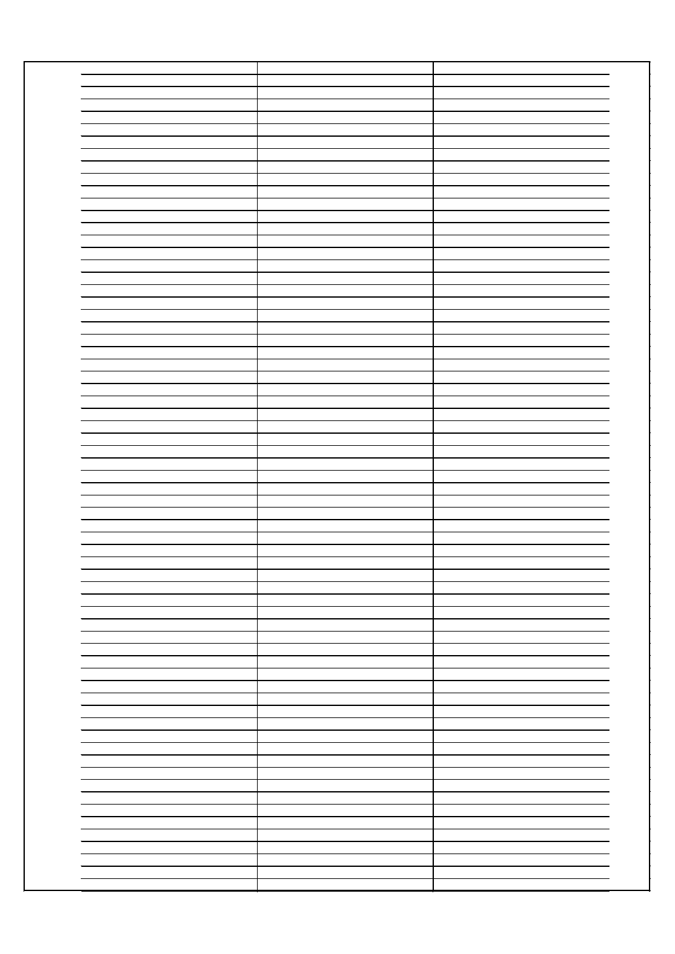|  | - |
|--|---|
|  |   |
|  |   |
|  |   |
|  |   |
|  |   |
|  |   |
|  |   |
|  |   |
|  | - |
|  |   |
|  |   |
|  |   |
|  |   |
|  |   |
|  |   |
|  |   |
|  |   |
|  |   |
|  |   |
|  |   |
|  |   |
|  |   |
|  |   |
|  |   |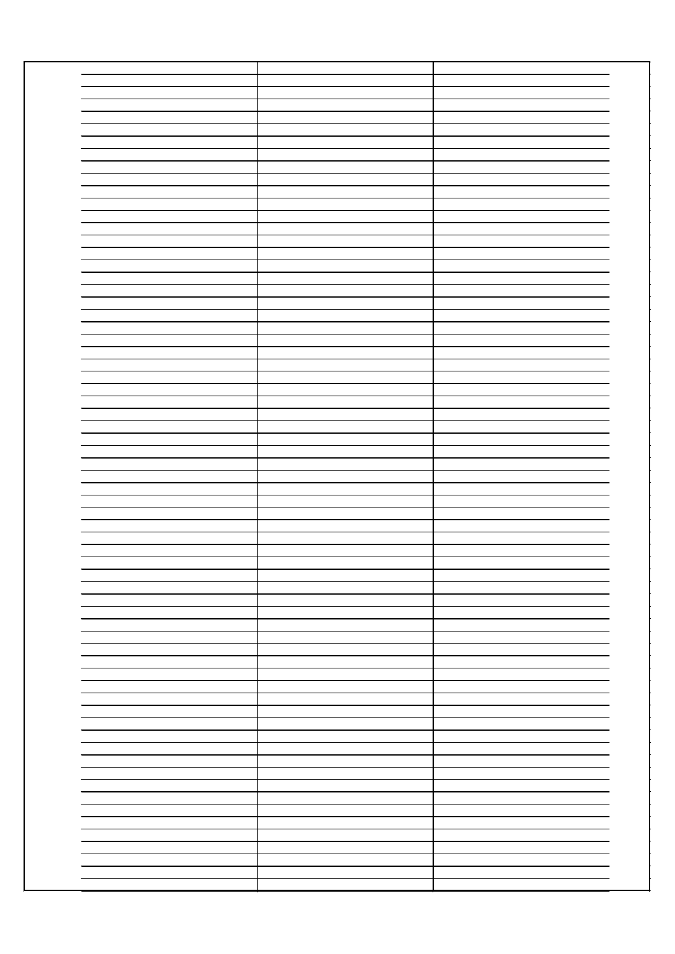|  | - |
|--|---|
|  |   |
|  |   |
|  |   |
|  |   |
|  |   |
|  |   |
|  |   |
|  |   |
|  | - |
|  |   |
|  |   |
|  |   |
|  |   |
|  |   |
|  |   |
|  |   |
|  |   |
|  |   |
|  |   |
|  |   |
|  |   |
|  |   |
|  |   |
|  |   |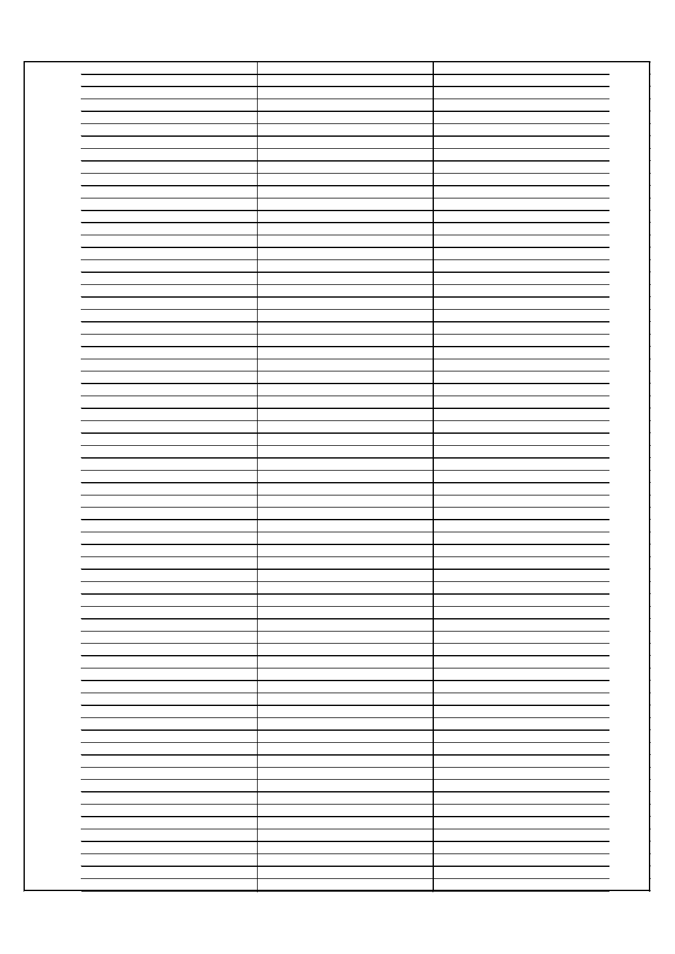|  | -                        |
|--|--------------------------|
|  |                          |
|  |                          |
|  | -                        |
|  |                          |
|  |                          |
|  |                          |
|  |                          |
|  |                          |
|  |                          |
|  |                          |
|  |                          |
|  | -                        |
|  |                          |
|  |                          |
|  |                          |
|  |                          |
|  |                          |
|  |                          |
|  |                          |
|  | $\overline{\phantom{0}}$ |
|  |                          |
|  |                          |
|  |                          |
|  |                          |
|  |                          |
|  |                          |
|  |                          |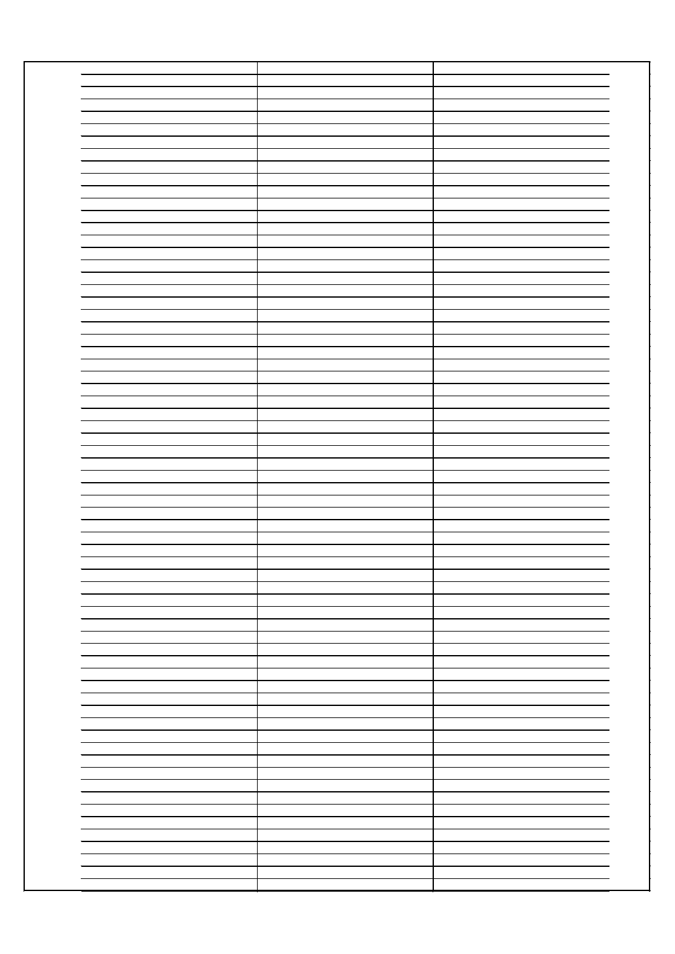|  | -                        |
|--|--------------------------|
|  |                          |
|  |                          |
|  | -                        |
|  |                          |
|  |                          |
|  |                          |
|  |                          |
|  |                          |
|  |                          |
|  |                          |
|  |                          |
|  | -                        |
|  |                          |
|  |                          |
|  |                          |
|  |                          |
|  |                          |
|  |                          |
|  |                          |
|  | $\overline{\phantom{0}}$ |
|  |                          |
|  |                          |
|  |                          |
|  |                          |
|  |                          |
|  |                          |
|  |                          |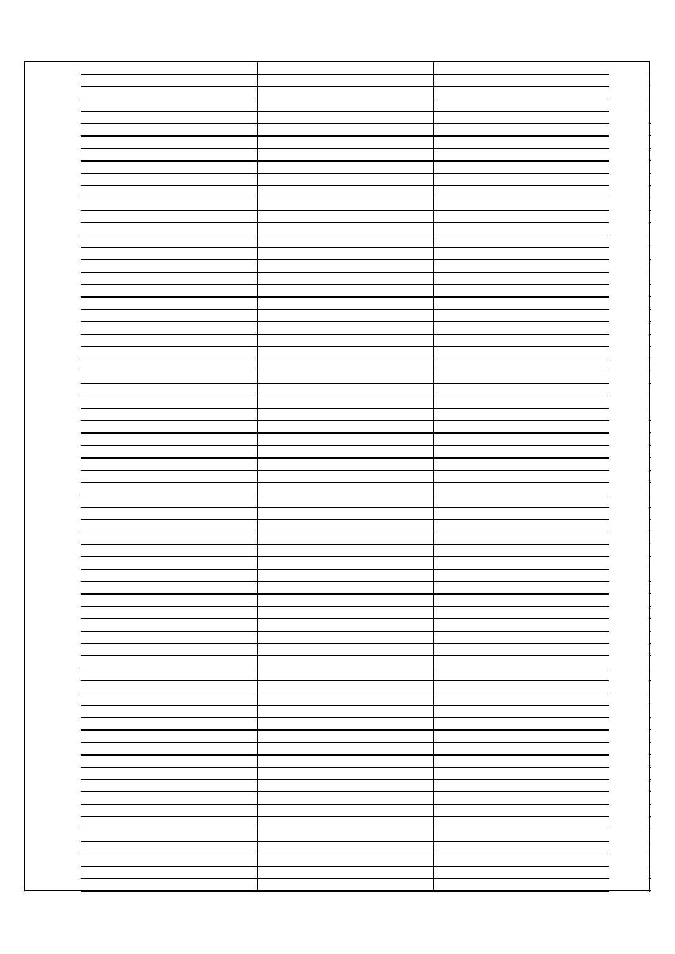|  | -                        |
|--|--------------------------|
|  |                          |
|  |                          |
|  | -                        |
|  |                          |
|  |                          |
|  |                          |
|  |                          |
|  |                          |
|  |                          |
|  |                          |
|  |                          |
|  | -                        |
|  |                          |
|  |                          |
|  |                          |
|  |                          |
|  |                          |
|  |                          |
|  | $\overline{\phantom{0}}$ |
|  |                          |
|  |                          |
|  |                          |
|  |                          |
|  |                          |
|  |                          |
|  |                          |
|  |                          |